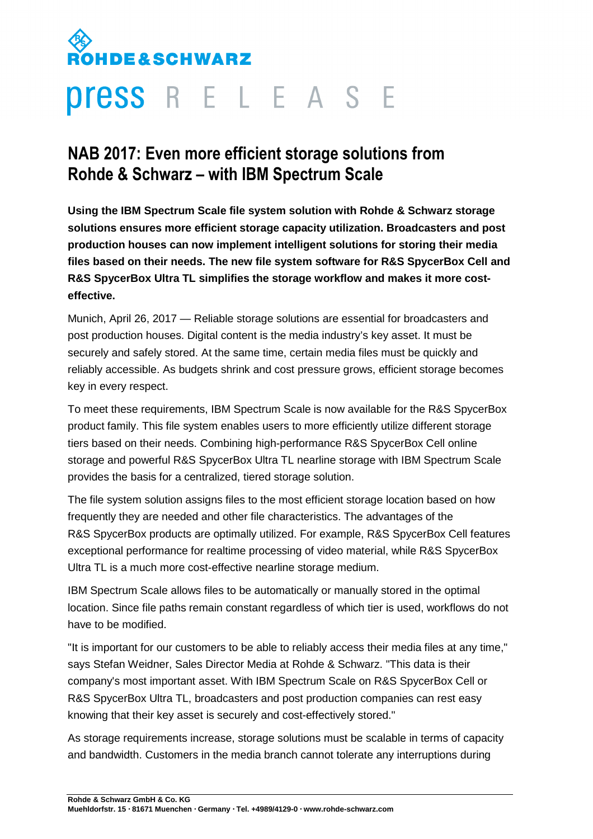## **DE&SCHWARZ**

## **Press** R E L E A S E

## **NAB 2017: Even more efficient storage solutions from Rohde & Schwarz – with IBM Spectrum Scale**

**Using the IBM Spectrum Scale file system solution with Rohde & Schwarz storage solutions ensures more efficient storage capacity utilization. Broadcasters and post production houses can now implement intelligent solutions for storing their media files based on their needs. The new file system software for R&S SpycerBox Cell and R&S SpycerBox Ultra TL simplifies the storage workflow and makes it more costeffective.** 

Munich, April 26, 2017 — Reliable storage solutions are essential for broadcasters and post production houses. Digital content is the media industry's key asset. It must be securely and safely stored. At the same time, certain media files must be quickly and reliably accessible. As budgets shrink and cost pressure grows, efficient storage becomes key in every respect.

To meet these requirements, IBM Spectrum Scale is now available for the R&S SpycerBox product family. This file system enables users to more efficiently utilize different storage tiers based on their needs. Combining high-performance R&S SpycerBox Cell online storage and powerful R&S SpycerBox Ultra TL nearline storage with IBM Spectrum Scale provides the basis for a centralized, tiered storage solution.

The file system solution assigns files to the most efficient storage location based on how frequently they are needed and other file characteristics. The advantages of the R&S SpycerBox products are optimally utilized. For example, R&S SpycerBox Cell features exceptional performance for realtime processing of video material, while R&S SpycerBox Ultra TL is a much more cost-effective nearline storage medium.

IBM Spectrum Scale allows files to be automatically or manually stored in the optimal location. Since file paths remain constant regardless of which tier is used, workflows do not have to be modified.

"It is important for our customers to be able to reliably access their media files at any time," says Stefan Weidner, Sales Director Media at Rohde & Schwarz. "This data is their company's most important asset. With IBM Spectrum Scale on R&S SpycerBox Cell or R&S SpycerBox Ultra TL, broadcasters and post production companies can rest easy knowing that their key asset is securely and cost-effectively stored."

As storage requirements increase, storage solutions must be scalable in terms of capacity and bandwidth. Customers in the media branch cannot tolerate any interruptions during